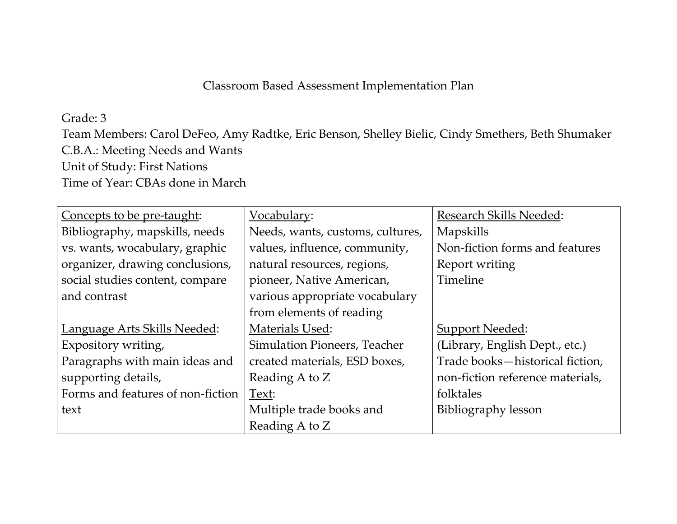## Classroom Based Assessment Implementation Plan

## Grade: 3

Team Members: Carol DeFeo, Amy Radtke, Eric Benson, Shelley Bielic, Cindy Smethers, Beth Shumaker C.B.A.: Meeting Needs and Wants Unit of Study: First Nations Time of Year: CBAs done in March

| Concepts to be pre-taught:            | Vocabulary:                      | <b>Research Skills Needed:</b>   |
|---------------------------------------|----------------------------------|----------------------------------|
| Bibliography, mapskills, needs        | Needs, wants, customs, cultures, | Mapskills                        |
| vs. wants, wocabulary, graphic        | values, influence, community,    | Non-fiction forms and features   |
| organizer, drawing conclusions,       | natural resources, regions,      | Report writing                   |
| social studies content, compare       | pioneer, Native American,        | Timeline                         |
| and contrast                          | various appropriate vocabulary   |                                  |
|                                       | from elements of reading         |                                  |
| <u> Language Arts Skills Needed</u> : | Materials Used:                  | <b>Support Needed:</b>           |
| Expository writing,                   | Simulation Pioneers, Teacher     | (Library, English Dept., etc.)   |
| Paragraphs with main ideas and        | created materials, ESD boxes,    | Trade books-historical fiction,  |
| supporting details,                   | Reading A to Z                   | non-fiction reference materials, |
| Forms and features of non-fiction     | Text:                            | folktales                        |
| text                                  | Multiple trade books and         | Bibliography lesson              |
|                                       | Reading A to Z                   |                                  |